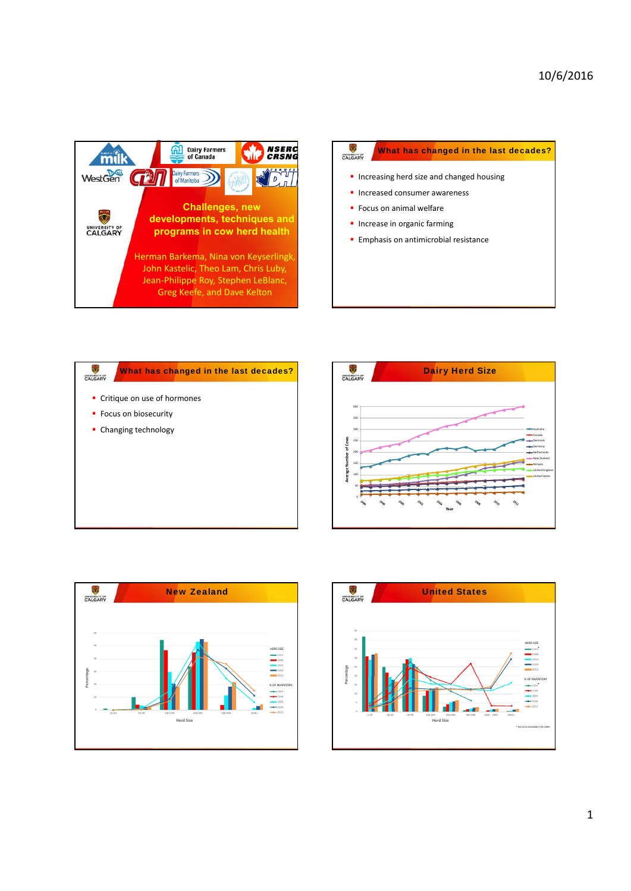









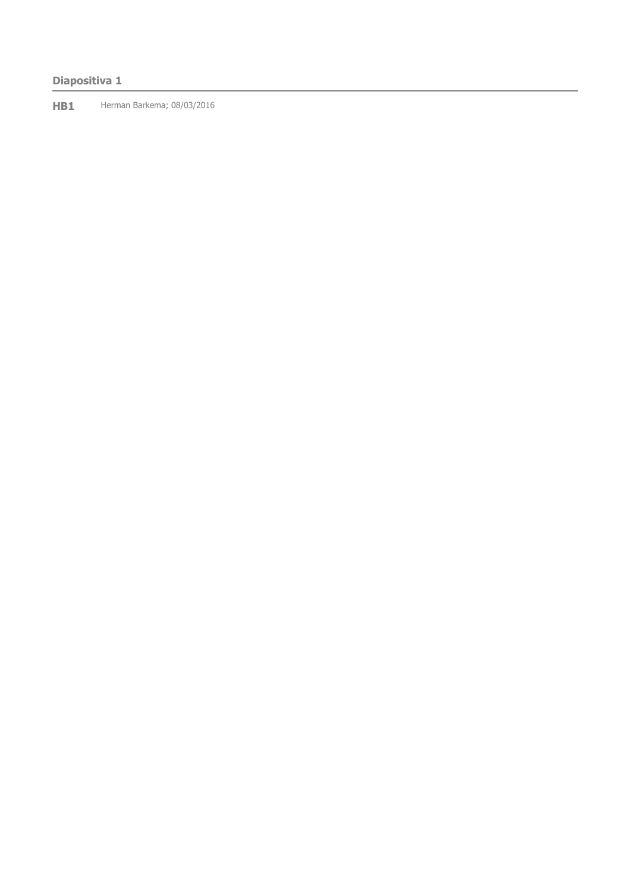# **Diapositiva 1**

**HB1** Herman Barkema; 08/03/2016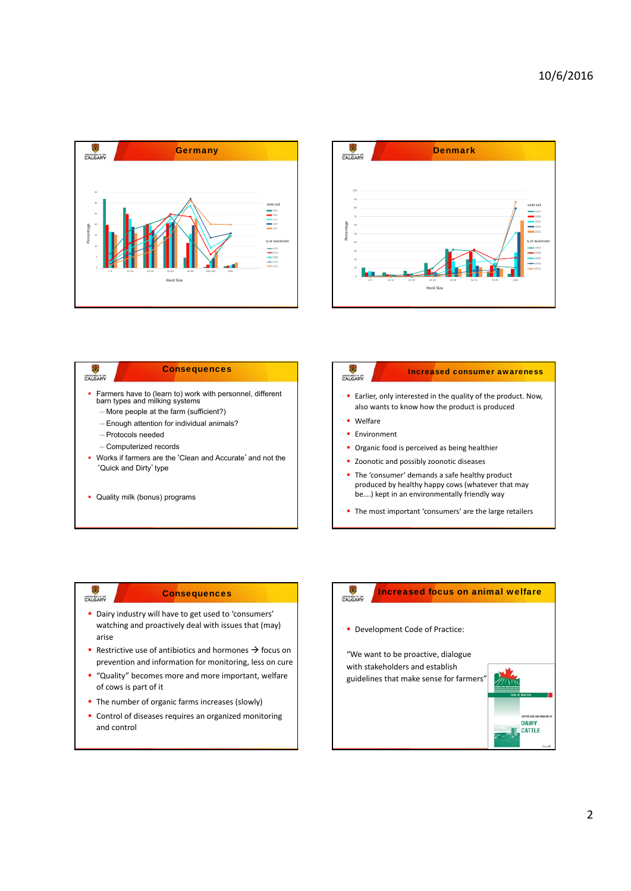



### ÷ **Consequences** ಕ Increased consumer awareness CALGARY CALGARY Farmers have to (learn to) work with personnel, different barn types and milking systems Earlier, only interested in the quality of the product. Now, also wants to know how the product is produced —More people at the farm (sufficient?) **•** Welfare —Enough attention for individual animals? **Environment** —Protocols needed —Computerized records **•** Organic food is perceived as being healthier Works if farmers are the'Clean and Accurate'and not the **Zoonotic and possibly zoonotic diseases** 'Quick and Dirty' type The 'consumer' demands a safe healthy product produced by healthy happy cows (whatever that may be….) kept in an environmentally friendly way **Quality milk (bonus) programs** The most important 'consumers' are the large retailers

### **Consequences**

CALGARY

- Dairy industry will have to get used to 'consumers' watching and proactively deal with issues that (may) arise
- Restrictive use of antibiotics and hormones  $\rightarrow$  focus on prevention and information for monitoring, less on cure
- " "Quality" becomes more and more important, welfare of cows is part of it
- The number of organic farms increases (slowly)
- **Control of diseases requires an organized monitoring** and control

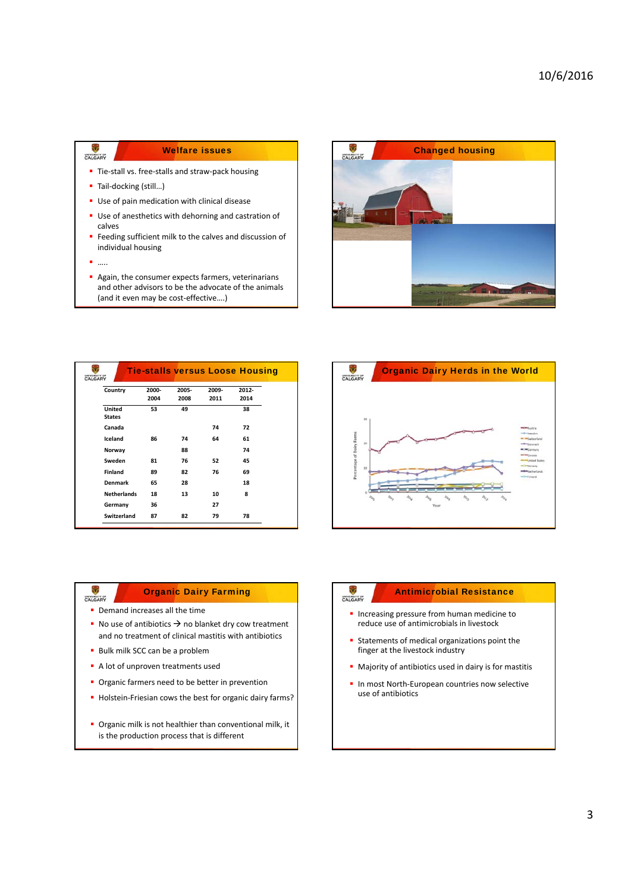# Welfare issues

- Tie-stall vs. free-stalls and straw-pack housing
- Tail-docking (still...)
- **Use of pain medication with clinical disease**
- Use of anesthetics with dehorning and castration of calves
- **Feeding sufficient milk to the calves and discussion of** individual housing
- $\blacksquare$

 $\overline{\mathbf{v}}$ CALGARY

> Again, the consumer expects farmers, veterinarians and other advisors to be the advocate of the animals (and it even may be cost‐effective….)



| CALGARY                 |               |               |               | <b>Tie-stalls versus Loose Housing</b> |  |
|-------------------------|---------------|---------------|---------------|----------------------------------------|--|
| Country                 | 2000-<br>2004 | 2005-<br>2008 | 2009-<br>2011 | 2012-<br>2014                          |  |
| United<br><b>States</b> | 53            | 49            |               | 38                                     |  |
| Canada                  |               |               | 74            | 72                                     |  |
| Iceland                 | 86            | 74            | 64            | 61                                     |  |
| Norway                  |               | 88            |               | 74                                     |  |
| Sweden                  | 81            | 76            | 52            | 45                                     |  |
| <b>Finland</b>          | 89            | 82            | 76            | 69                                     |  |
| Denmark                 | 65            | 28            |               | 18                                     |  |
| <b>Netherlands</b>      | 18            | 13            | 10            | 8                                      |  |
| Germany                 | 36            |               | 27            |                                        |  |
| <b>Switzerland</b>      | 87            | 82            | 79            | 78                                     |  |



# Organic Dairy Farming

**•** Demand increases all the time

CALGARY

- No use of antibiotics  $\rightarrow$  no blanket dry cow treatment and no treatment of clinical mastitis with antibiotics
- **Bulk milk SCC can be a problem**
- A lot of unproven treatments used
- **Organic farmers need to be better in prevention**
- Holstein-Friesian cows the best for organic dairy farms?
- **Organic milk is not healthier than conventional milk, it** is the production process that is different

# Antimicrobial Resistance

**Increasing pressure from human medicine to** reduce use of antimicrobials in livestock

CALGARY

- Statements of medical organizations point the finger at the livestock industry
- Majority of antibiotics used in dairy is for mastitis
- In most North-European countries now selective use of antibiotics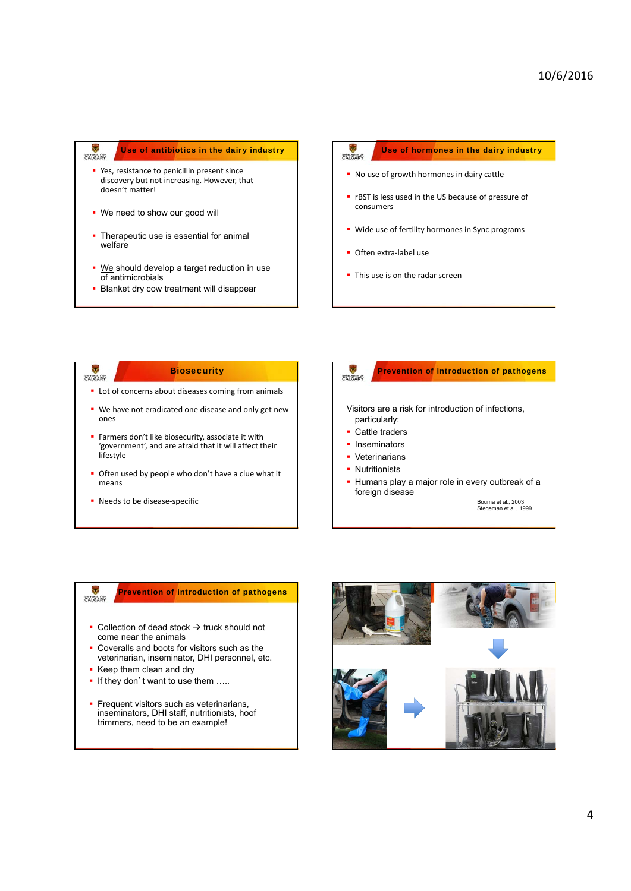#### $\ddot\circ$ Use of antibiotics in the dairy industry CALGARY

- **P** Yes, resistance to penicillin present since discovery but not increasing. However, that doesn't matter!
- We need to show our good will
- **Therapeutic use is essential for animal** welfare
- We should develop a target reduction in use of antimicrobials
- **Blanket dry cow treatment will disappear**

# Use of hormones in the dairy industry CALGARY No use of growth hormones in dairy cattle **•** rBST is less used in the US because of pressure of consumers **Wide use of fertility hormones in Sync programs**

- Often extra-label use
- This use is on the radar screen

### **Biosecurity** Prevention of introduction of pathogens CALGARY CALGARY **Lot of concerns about diseases coming from animals** ■ We have not eradicated one disease and only get new Visitors are a risk for introduction of infections, ones particularly: ■ Cattle traders Farmers don't like biosecurity, associate it with **Inseminators** 'government', and are afraid that it will affect their lifestyle **•** Veterinarians **Nutritionists Often used by people who don't have a clue what it** Humans play a major role in every outbreak of a means foreign disease ■ Needs to be disease-specific Bouma et al., 2003 Stegeman et al., 1999

### Prevention of introduction of pathogens CALGARY

- $\bullet$  Collection of dead stock  $\rightarrow$  truck should not come near the animals
- Coveralls and boots for visitors such as the veterinarian, inseminator, DHI personnel, etc.
- Keep them clean and dry
- If they don't want to use them .....
- **Frequent visitors such as veterinarians,** inseminators, DHI staff, nutritionists, hoof trimmers, need to be an example!

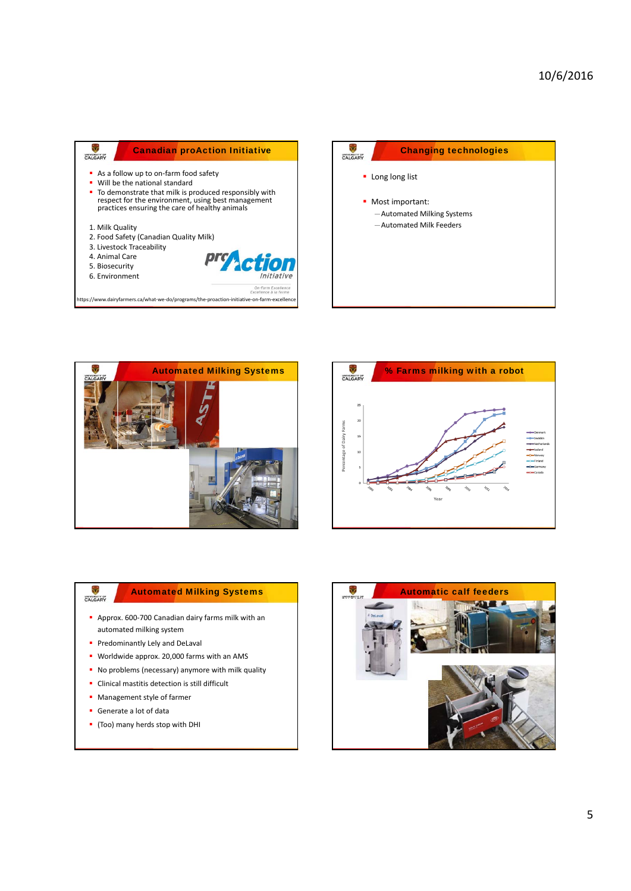| <b>Canadian proAction Initiative</b><br>ALGAD'                                                                                                                                                                                            |                                                       |
|-------------------------------------------------------------------------------------------------------------------------------------------------------------------------------------------------------------------------------------------|-------------------------------------------------------|
| As a follow up to on-farm food safety<br>Will be the national standard<br>• To demonstrate that milk is produced responsibly with<br>respect for the environment, using best management<br>practices ensuring the care of healthy animals |                                                       |
| 1. Milk Quality<br>2. Food Safety (Canadian Quality Milk)<br>3. Livestock Traceability<br>4. Animal Care<br>5. Biosecurity<br>6. Environment                                                                                              | pro <b>nation</b><br>Initiative<br>On-Farm Excellence |
| https://www.dairyfarmers.ca/what-we-do/programs/the-proaction-initiative-on-farm-excellence                                                                                                                                               | Excellence à la ferme                                 |







# CALGARY

# Automated Milking Systems

- Approx. 600-700 Canadian dairy farms milk with an automated milking system
- **Predominantly Lely and DeLaval**
- Worldwide approx. 20,000 farms with an AMS
- No problems (necessary) anymore with milk quality
- Clinical mastitis detection is still difficult
- **Management style of farmer**
- Generate a lot of data
- (Too) many herds stop with DHI

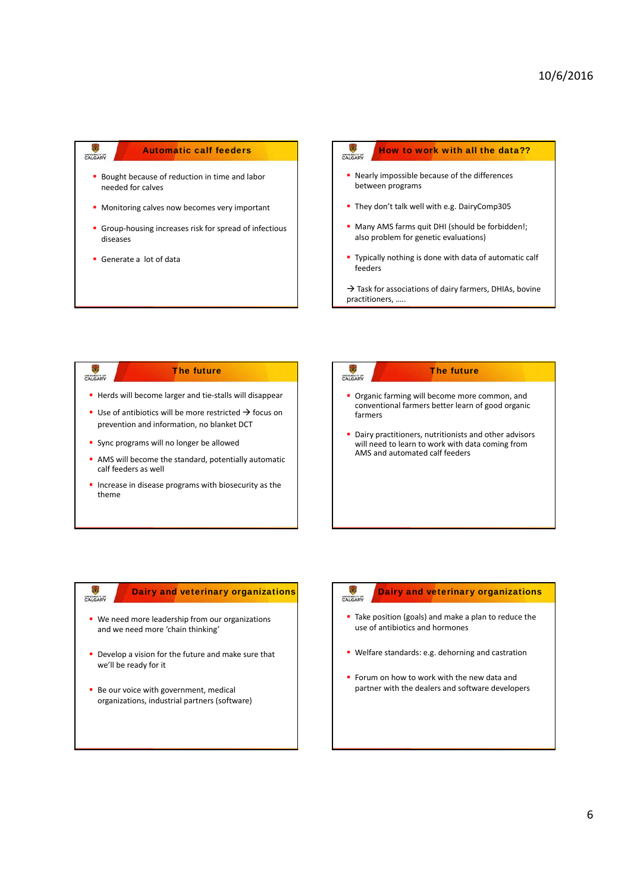

### How to work with all the data?? CALGARY

- **-** Nearly impossible because of the differences between programs
- They don't talk well with e.g. DairyComp305
- **Many AMS farms quit DHI (should be forbidden!;** also problem for genetic evaluations)
- **Typically nothing is done with data of automatic calf** feeders
- $\rightarrow$  Task for associations of dairy farmers, DHIAs, bovine practitioners, …..

# The future CALGARY ■ Herds will become larger and tie-stalls will disappear Use of antibiotics will be more restricted  $\rightarrow$  focus on prevention and information, no blanket DCT **Sync programs will no longer be allowed**

- 
- **AMS** will become the standard, potentially automatic calf feeders as well
- $\blacksquare$  Increase in disease programs with biosecurity as the theme

# CALGARY

### The future

- **Organic farming will become more common, and** conventional farmers better learn of good organic farmers
- **Dairy practitioners, nutritionists and other advisors** will need to learn to work with data coming from AMS and automated calf feeders

# Dairy and veterinary organizations

**•** We need more leadership from our organizations and we need more 'chain thinking'

CALGARY

- Develop a vision for the future and make sure that we'll be ready for it
- Be our voice with government, medical organizations, industrial partners (software)

# CALGARY

# Dairy and veterinary organizations

- Take position (goals) and make a plan to reduce the use of antibiotics and hormones
- Welfare standards: e.g. dehorning and castration
- Forum on how to work with the new data and partner with the dealers and software developers